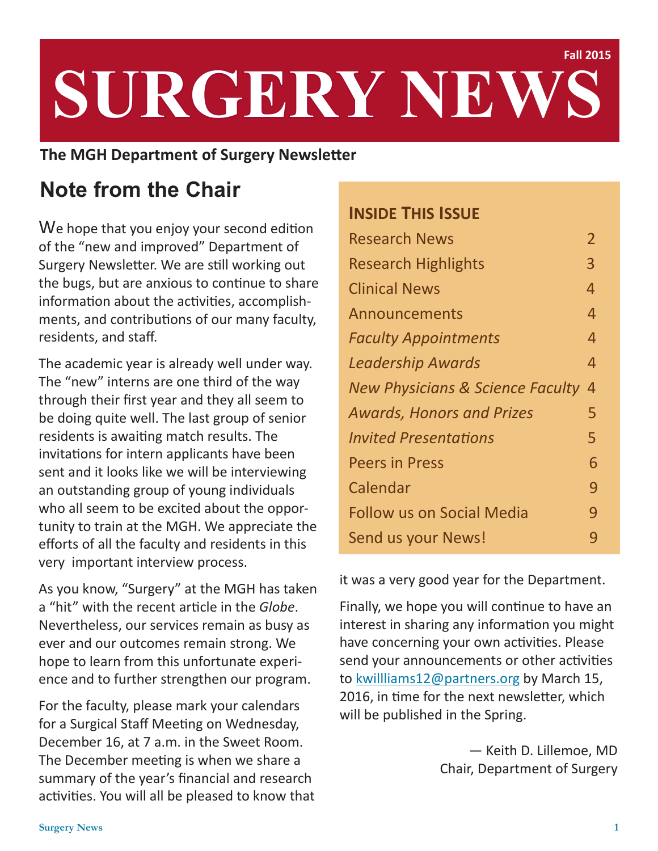# **SURGERY NEWS Fall 2015**

### **The MGH Department of Surgery Newsletter**

# **Note from the Chair**

We hope that you enjoy your second edition of the "new and improved" Department of Surgery Newsletter. We are still working out the bugs, but are anxious to continue to share information about the activities, accomplishments, and contributions of our many faculty, residents, and staff.

The academic year is already well under way. The "new" interns are one third of the way through their first year and they all seem to be doing quite well. The last group of senior residents is awaiting match results. The invitations for intern applicants have been sent and it looks like we will be interviewing an outstanding group of young individuals who all seem to be excited about the opportunity to train at the MGH. We appreciate the efforts of all the faculty and residents in this very important interview process.

As you know, "Surgery" at the MGH has taken a "hit" with the recent article in the *Globe*. Nevertheless, our services remain as busy as ever and our outcomes remain strong. We hope to learn from this unfortunate experience and to further strengthen our program.

For the faculty, please mark your calendars for a Surgical Staff Meeting on Wednesday, December 16, at 7 a.m. in the Sweet Room. The December meeting is when we share a summary of the year's financial and research activities. You will all be pleased to know that

# **INSIDE THIS ISSUE** Research News 2008 2009 Research Highlights 3 Clinical News 4 Announcements 4 *Faculty Appointments*  4 *Leadership Awards*  4 *New Physicians & Science Faculty* 4 *Awards, Honors and Prizes* 5 *Invited Presentations* 5 Peers in Press 6 Calendar **by School Calendar 19 Follow us on Social Media 19** Send us your News!<br>
9

it was a very good year for the Department.

Finally, we hope you will continue to have an interest in sharing any information you might have concerning your own activities. Please send your announcements or other activities to [kwillliams12@partners.org](mailto:kwilliams12%40partners.org?subject=Surgery%20News) by March 15, 2016, in time for the next newsletter, which will be published in the Spring.

> — Keith D. Lillemoe, MD Chair, Department of Surgery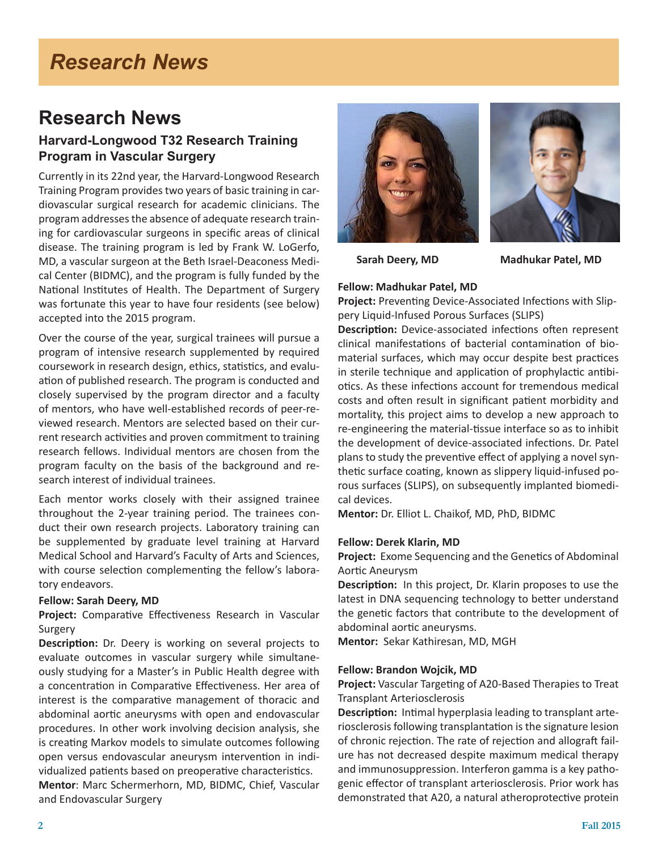# *Research News*

### **Research News**

### **Harvard-Longwood T32 Research Training Program in Vascular Surgery**

Currently in its 22nd year, the Harvard-Longwood Research Training Program provides two years of basic training in cardiovascular surgical research for academic clinicians. The program addresses the absence of adequate research training for cardiovascular surgeons in specific areas of clinical disease. The training program is led by Frank W. LoGerfo, MD, a vascular surgeon at the Beth Israel-Deaconess Medical Center (BIDMC), and the program is fully funded by the National Institutes of Health. The Department of Surgery was fortunate this year to have four residents (see below) accepted into the 2015 program.

Over the course of the year, surgical trainees will pursue a program of intensive research supplemented by required coursework in research design, ethics, statistics, and evaluation of published research. The program is conducted and closely supervised by the program director and a faculty of mentors, who have well-established records of peer-reviewed research. Mentors are selected based on their current research activities and proven commitment to training research fellows. Individual mentors are chosen from the program faculty on the basis of the background and research interest of individual trainees.

Each mentor works closely with their assigned trainee throughout the 2-year training period. The trainees conduct their own research projects. Laboratory training can be supplemented by graduate level training at Harvard Medical School and Harvard's Faculty of Arts and Sciences, with course selection complementing the fellow's laboratory endeavors.

#### **Fellow: Sarah Deery, MD**

**Project:** Comparative Effectiveness Research in Vascular Surgery

**Description:** Dr. Deery is working on several projects to evaluate outcomes in vascular surgery while simultaneously studying for a Master's in Public Health degree with a concentration in Comparative Effectiveness. Her area of interest is the comparative management of thoracic and abdominal aortic aneurysms with open and endovascular procedures. In other work involving decision analysis, she is creating Markov models to simulate outcomes following open versus endovascular aneurysm intervention in individualized patients based on preoperative characteristics.

**Mentor**: Marc Schermerhorn, MD, BIDMC, Chief, Vascular and Endovascular Surgery





 **Sarah Deery, MD Madhukar Patel, MD** 

#### **Fellow: Madhukar Patel, MD**

**Project:** Preventing Device-Associated Infections with Slippery Liquid-Infused Porous Surfaces (SLIPS)

**Description:** Device-associated infections often represent clinical manifestations of bacterial contamination of biomaterial surfaces, which may occur despite best practices in sterile technique and application of prophylactic antibiotics. As these infections account for tremendous medical costs and often result in significant patient morbidity and mortality, this project aims to develop a new approach to re-engineering the material-tissue interface so as to inhibit the development of device-associated infections. Dr. Patel plans to study the preventive effect of applying a novel synthetic surface coating, known as slippery liquid-infused porous surfaces (SLIPS), on subsequently implanted biomedical devices.

**Mentor:** Dr. Elliot L. Chaikof, MD, PhD, BIDMC

#### **Fellow: Derek Klarin, MD**

**Project:** Exome Sequencing and the Genetics of Abdominal Aortic Aneurysm

**Description:** In this project, Dr. Klarin proposes to use the latest in DNA sequencing technology to better understand the genetic factors that contribute to the development of abdominal aortic aneurysms.

**Mentor:** Sekar Kathiresan, MD, MGH

#### **Fellow: Brandon Wojcik, MD**

**Project:** Vascular Targeting of A20-Based Therapies to Treat Transplant Arteriosclerosis

**Description:** Intimal hyperplasia leading to transplant arteriosclerosis following transplantation is the signature lesion of chronic rejection. The rate of rejection and allograft failure has not decreased despite maximum medical therapy and immunosuppression. Interferon gamma is a key pathogenic effector of transplant arteriosclerosis. Prior work has demonstrated that A20, a natural atheroprotective protein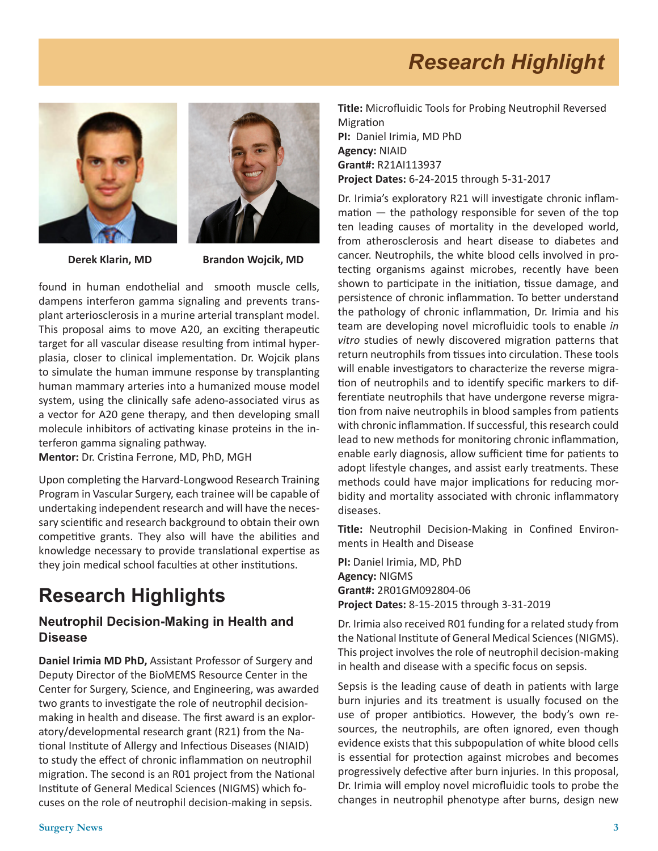# *Research Highlight*





 **Derek Klarin, MD Brandon Wojcik, MD** 

found in human endothelial andsmooth muscle cells, dampens interferon gamma signaling and prevents transplant arteriosclerosis in a murine arterial transplant model. This proposal aims to move A20, an exciting therapeutic target for all vascular disease resulting from intimal hyperplasia, closer to clinical implementation. Dr. Wojcik plans to simulate the human immune response by transplanting human mammary arteries into a humanized mouse model system, using the clinically safe adeno-associated virus as a vector for A20 gene therapy, and then developing small molecule inhibitors of activating kinase proteins in the interferon gamma signaling pathway.

**Mentor:** Dr. Cristina Ferrone, MD, PhD, MGH

Upon completing the Harvard-Longwood Research Training Program in Vascular Surgery, each trainee will be capable of undertaking independent research and will have the necessary scientific and research background to obtain their own competitive grants. They also will have the abilities and knowledge necessary to provide translational expertise as they join medical school faculties at other institutions.

### **Research Highlights**

### **Neutrophil Decision-Making in Health and Disease**

**Daniel Irimia MD PhD,** Assistant Professor of Surgery and Deputy Director of the BioMEMS Resource Center in the Center for Surgery, Science, and Engineering, was awarded two grants to investigate the role of neutrophil decisionmaking in health and disease. The first award is an exploratory/developmental research grant (R21) from the National Institute of Allergy and Infectious Diseases (NIAID) to study the effect of chronic inflammation on neutrophil migration. The second is an R01 project from the National Institute of General Medical Sciences (NIGMS) which focuses on the role of neutrophil decision-making in sepsis.

**Title:** Microfluidic Tools for Probing Neutrophil Reversed Migration **PI:** Daniel Irimia, MD PhD **Agency:** NIAID **Grant#:** R21AI113937 **Project Dates:** 6-24-2015 through 5-31-2017

Dr. Irimia's exploratory R21 will investigate chronic inflammation — the pathology responsible for seven of the top ten leading causes of mortality in the developed world, from atherosclerosis and heart disease to diabetes and cancer. Neutrophils, the white blood cells involved in protecting organisms against microbes, recently have been shown to participate in the initiation, tissue damage, and persistence of chronic inflammation. To better understand the pathology of chronic inflammation, Dr. Irimia and his team are developing novel microfluidic tools to enable *in vitro* studies of newly discovered migration patterns that return neutrophils from tissues into circulation. These tools will enable investigators to characterize the reverse migration of neutrophils and to identify specific markers to differentiate neutrophils that have undergone reverse migration from naive neutrophils in blood samples from patients with chronic inflammation. If successful, this research could lead to new methods for monitoring chronic inflammation, enable early diagnosis, allow sufficient time for patients to adopt lifestyle changes, and assist early treatments. These methods could have major implications for reducing morbidity and mortality associated with chronic inflammatory diseases.

**Title:** Neutrophil Decision-Making in Confined Environments in Health and Disease

**PI:** Daniel Irimia, MD, PhD **Agency:** NIGMS **Grant#:** 2R01GM092804-06 **Project Dates:** 8-15-2015 through 3-31-2019

Dr. Irimia also received R01 funding for a related study from the National Institute of General Medical Sciences (NIGMS). This project involves the role of neutrophil decision-making in health and disease with a specific focus on sepsis.

Sepsis is the leading cause of death in patients with large burn injuries and its treatment is usually focused on the use of proper antibiotics. However, the body's own resources, the neutrophils, are often ignored, even though evidence exists that this subpopulation of white blood cells is essential for protection against microbes and becomes progressively defective after burn injuries. In this proposal, Dr. Irimia will employ novel microfluidic tools to probe the changes in neutrophil phenotype after burns, design new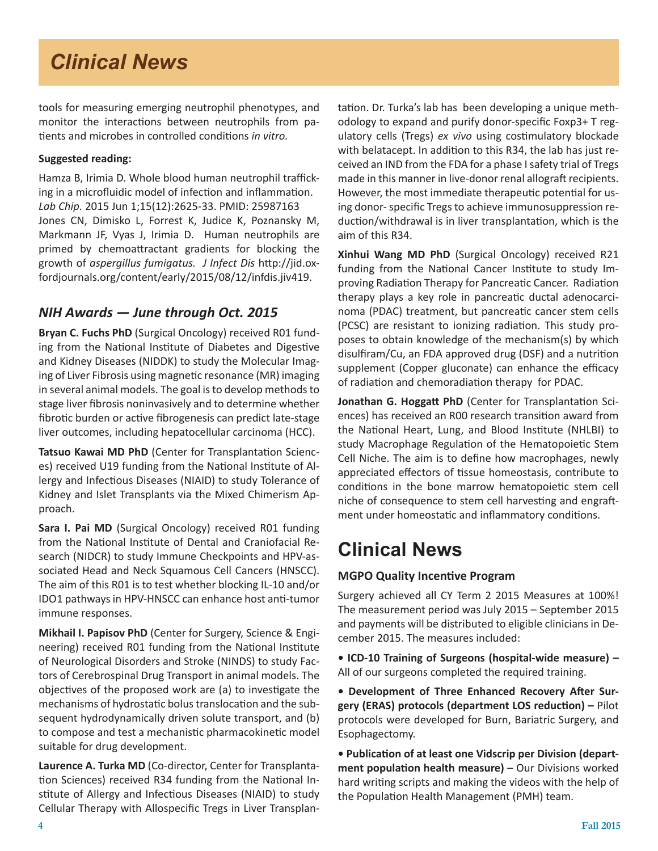# *Clinical News*

tools for measuring emerging neutrophil phenotypes, and monitor the interactions between neutrophils from patients and microbes in controlled conditions *in vitro.*

### **Suggested reading:**

Hamza B, Irimia D. Whole blood human neutrophil trafficking in a microfluidic model of infection and inflammation. *Lab Chip.* 2015 Jun 1;15(12):2625-33. PMID: 25987163 Jones CN, Dimisko L, Forrest K, Judice K, Poznansky M, Markmann JF, Vyas J, Irimia D. Human neutrophils are primed by chemoattractant gradients for blocking the growth of *aspergillus fumigatus. J Infect Dis* http://jid.oxfordjournals.org/content/early/2015/08/12/infdis.jiv419.

### *NIH Awards — June through Oct. 2015*

**Bryan C. Fuchs PhD** (Surgical Oncology) received R01 funding from the National Institute of Diabetes and Digestive and Kidney Diseases (NIDDK) to study the Molecular Imaging of Liver Fibrosis using magnetic resonance (MR) imaging in several animal models. The goal is to develop methods to stage liver fibrosis noninvasively and to determine whether fibrotic burden or active fibrogenesis can predict late-stage liver outcomes, including hepatocellular carcinoma (HCC).

**Tatsuo Kawai MD PhD** (Center for Transplantation Sciences) received U19 funding from the National Institute of Allergy and Infectious Diseases (NIAID) to study Tolerance of Kidney and Islet Transplants via the Mixed Chimerism Approach.

**Sara I. Pai MD** (Surgical Oncology) received R01 funding from the National Institute of Dental and Craniofacial Research (NIDCR) to study Immune Checkpoints and HPV-associated Head and Neck Squamous Cell Cancers (HNSCC). The aim of this R01 is to test whether blocking IL-10 and/or IDO1 pathways in HPV-HNSCC can enhance host anti-tumor immune responses.

**Mikhail I. Papisov PhD** (Center for Surgery, Science & Engineering) received R01 funding from the National Institute of Neurological Disorders and Stroke (NINDS) to study Factors of Cerebrospinal Drug Transport in animal models. The objectives of the proposed work are (a) to investigate the mechanisms of hydrostatic bolus translocation and the subsequent hydrodynamically driven solute transport, and (b) to compose and test a mechanistic pharmacokinetic model suitable for drug development.

**Laurence A. Turka MD** (Co-director, Center for Transplantation Sciences) received R34 funding from the National Institute of Allergy and Infectious Diseases (NIAID) to study Cellular Therapy with Allospecific Tregs in Liver Transplantation. Dr. Turka's lab has been developing a unique methodology to expand and purify donor-specific Foxp3+ T regulatory cells (Tregs) *ex vivo* using costimulatory blockade with belatacept. In addition to this R34, the lab has just received an IND from the FDA for a phase I safety trial of Tregs made in this manner in live-donor renal allograft recipients. However, the most immediate therapeutic potential for using donor- specific Tregs to achieve immunosuppression reduction/withdrawal is in liver transplantation, which is the aim of this R34.

**Xinhui Wang MD PhD** (Surgical Oncology) received R21 funding from the National Cancer Institute to study Improving Radiation Therapy for Pancreatic Cancer. Radiation therapy plays a key role in pancreatic ductal adenocarcinoma (PDAC) treatment, but pancreatic cancer stem cells (PCSC) are resistant to ionizing radiation. This study proposes to obtain knowledge of the mechanism(s) by which disulfiram/Cu, an FDA approved drug (DSF) and a nutrition supplement (Copper gluconate) can enhance the efficacy of radiation and chemoradiation therapy for PDAC.

**Jonathan G. Hoggatt PhD** (Center for Transplantation Sciences) has received an R00 research transition award from the National Heart, Lung, and Blood Institute (NHLBI) to study Macrophage Regulation of the Hematopoietic Stem Cell Niche. The aim is to define how macrophages, newly appreciated effectors of tissue homeostasis, contribute to conditions in the bone marrow hematopoietic stem cell niche of consequence to stem cell harvesting and engraftment under homeostatic and inflammatory conditions.

# **Clinical News**

### **MGPO Quality Incentive Program**

Surgery achieved all CY Term 2 2015 Measures at 100%! The measurement period was July 2015 – September 2015 and payments will be distributed to eligible clinicians in December 2015. The measures included:

**• ICD-10 Training of Surgeons (hospital-wide measure) –** All of our surgeons completed the required training.

**• Development of Three Enhanced Recovery After Surgery (ERAS) protocols (department LOS reduction) –** Pilot protocols were developed for Burn, Bariatric Surgery, and Esophagectomy.

**• Publication of at least one Vidscrip per Division (department population health measure)** – Our Divisions worked hard writing scripts and making the videos with the help of the Population Health Management (PMH) team.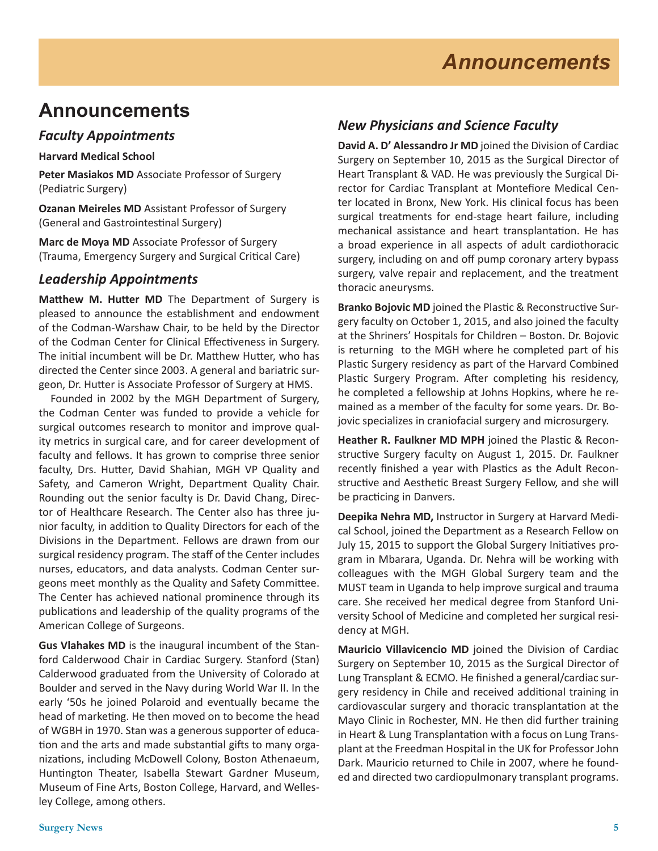## **Announcements**

### *Faculty Appointments*

**Harvard Medical School**

**Peter Masiakos MD** Associate Professor of Surgery (Pediatric Surgery)

**Ozanan Meireles MD** Assistant Professor of Surgery (General and Gastrointestinal Surgery)

**Marc de Moya MD** Associate Professor of Surgery (Trauma, Emergency Surgery and Surgical Critical Care)

### *Leadership Appointments*

**Matthew M. Hutter MD** The Department of Surgery is pleased to announce the establishment and endowment of the Codman-Warshaw Chair, to be held by the Director of the Codman Center for Clinical Effectiveness in Surgery. The initial incumbent will be Dr. Matthew Hutter, who has directed the Center since 2003. A general and bariatric surgeon, Dr. Hutter is Associate Professor of Surgery at HMS.

 Founded in 2002 by the MGH Department of Surgery, the Codman Center was funded to provide a vehicle for surgical outcomes research to monitor and improve quality metrics in surgical care, and for career development of faculty and fellows. It has grown to comprise three senior faculty, Drs. Hutter, David Shahian, MGH VP Quality and Safety, and Cameron Wright, Department Quality Chair. Rounding out the senior faculty is Dr. David Chang, Director of Healthcare Research. The Center also has three junior faculty, in addition to Quality Directors for each of the Divisions in the Department. Fellows are drawn from our surgical residency program. The staff of the Center includes nurses, educators, and data analysts. Codman Center surgeons meet monthly as the Quality and Safety Committee. The Center has achieved national prominence through its publications and leadership of the quality programs of the American College of Surgeons.

**Gus Vlahakes MD** is the inaugural incumbent of the Stanford Calderwood Chair in Cardiac Surgery. Stanford (Stan) Calderwood graduated from the University of Colorado at Boulder and served in the Navy during World War II. In the early '50s he joined Polaroid and eventually became the head of marketing. He then moved on to become the head of WGBH in 1970. Stan was a generous supporter of education and the arts and made substantial gifts to many organizations, including McDowell Colony, Boston Athenaeum, Huntington Theater, Isabella Stewart Gardner Museum, Museum of Fine Arts, Boston College, Harvard, and Wellesley College, among others.

### *New Physicians and Science Faculty*

**David A. D' Alessandro Jr MD** joined the Division of Cardiac Surgery on September 10, 2015 as the Surgical Director of Heart Transplant & VAD. He was previously the Surgical Director for Cardiac Transplant at Montefiore Medical Center located in Bronx, New York. His clinical focus has been surgical treatments for end-stage heart failure, including mechanical assistance and heart transplantation. He has a broad experience in all aspects of adult cardiothoracic surgery, including on and off pump coronary artery bypass surgery, valve repair and replacement, and the treatment thoracic aneurysms.

**Branko Bojovic MD** joined the Plastic & Reconstructive Surgery faculty on October 1, 2015, and also joined the faculty at the Shriners' Hospitals for Children – Boston. Dr. Bojovic is returning to the MGH where he completed part of his Plastic Surgery residency as part of the Harvard Combined Plastic Surgery Program. After completing his residency, he completed a fellowship at Johns Hopkins, where he remained as a member of the faculty for some years. Dr. Bojovic specializes in craniofacial surgery and microsurgery.

**Heather R. Faulkner MD MPH** joined the Plastic & Reconstructive Surgery faculty on August 1, 2015. Dr. Faulkner recently finished a year with Plastics as the Adult Reconstructive and Aesthetic Breast Surgery Fellow, and she will be practicing in Danvers.

**Deepika Nehra MD,** Instructor in Surgery at Harvard Medical School, joined the Department as a Research Fellow on July 15, 2015 to support the Global Surgery Initiatives program in Mbarara, Uganda. Dr. Nehra will be working with colleagues with the MGH Global Surgery team and the MUST team in Uganda to help improve surgical and trauma care. She received her medical degree from Stanford University School of Medicine and completed her surgical residency at MGH.

**Mauricio Villavicencio MD** joined the Division of Cardiac Surgery on September 10, 2015 as the Surgical Director of Lung Transplant & ECMO. He finished a general/cardiac surgery residency in Chile and received additional training in cardiovascular surgery and thoracic transplantation at the Mayo Clinic in Rochester, MN. He then did further training in Heart & Lung Transplantation with a focus on Lung Transplant at the Freedman Hospital in the UK for Professor John Dark. Mauricio returned to Chile in 2007, where he founded and directed two cardiopulmonary transplant programs.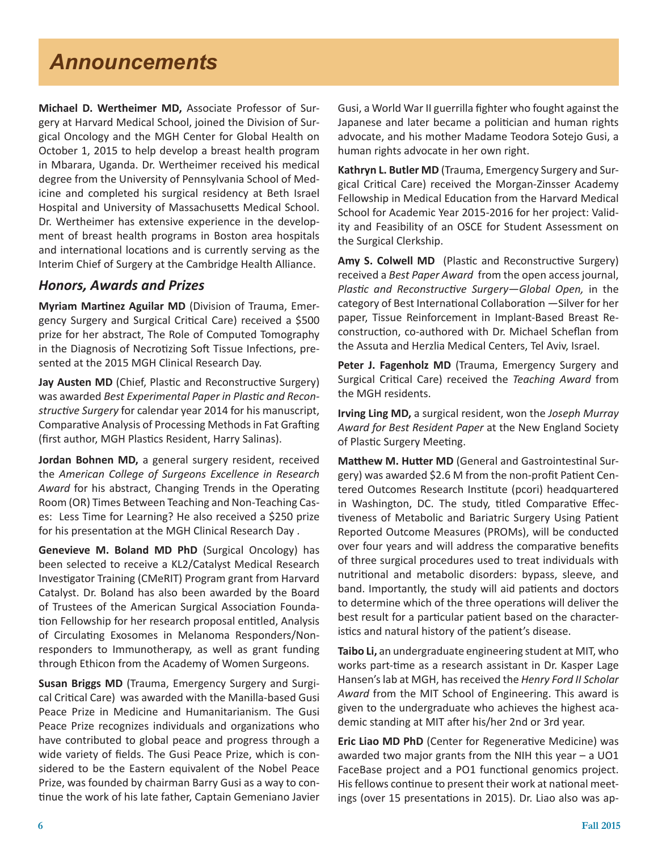## *Announcements*

**Michael D. Wertheimer MD,** Associate Professor of Surgery at Harvard Medical School, joined the Division of Surgical Oncology and the MGH Center for Global Health on October 1, 2015 to help develop a breast health program in Mbarara, Uganda. Dr. Wertheimer received his medical degree from the University of Pennsylvania School of Medicine and completed his surgical residency at Beth Israel Hospital and University of Massachusetts Medical School. Dr. Wertheimer has extensive experience in the development of breast health programs in Boston area hospitals and international locations and is currently serving as the Interim Chief of Surgery at the Cambridge Health Alliance.

### *Honors, Awards and Prizes*

**Myriam Martinez Aguilar MD** (Division of Trauma, Emergency Surgery and Surgical Critical Care) received a \$500 prize for her abstract, The Role of Computed Tomography in the Diagnosis of Necrotizing Soft Tissue Infections, presented at the 2015 MGH Clinical Research Day.

**Jay Austen MD** (Chief, Plastic and Reconstructive Surgery) was awarded *Best Experimental Paper in Plastic and Reconstructive Surgery* for calendar year 2014 for his manuscript, Comparative Analysis of Processing Methods in Fat Grafting (first author, MGH Plastics Resident, Harry Salinas).

**Jordan Bohnen MD,** a general surgery resident, received the *American College of Surgeons Excellence in Research Award* for his abstract, Changing Trends in the Operating Room (OR) Times Between Teaching and Non-Teaching Cases: Less Time for Learning? He also received a \$250 prize for his presentation at the MGH Clinical Research Day .

**Genevieve M. Boland MD PhD** (Surgical Oncology) has been selected to receive a KL2/Catalyst Medical Research Investigator Training (CMeRIT) Program grant from Harvard Catalyst. Dr. Boland has also been awarded by the Board of Trustees of the American Surgical Association Foundation Fellowship for her research proposal entitled, Analysis of Circulating Exosomes in Melanoma Responders/Nonresponders to Immunotherapy, as well as grant funding through Ethicon from the Academy of Women Surgeons.

**Susan Briggs MD** (Trauma, Emergency Surgery and Surgical Critical Care) was awarded with the Manilla-based Gusi Peace Prize in Medicine and Humanitarianism. The Gusi Peace Prize recognizes individuals and organizations who have contributed to global peace and progress through a wide variety of fields. The Gusi Peace Prize, which is considered to be the Eastern equivalent of the Nobel Peace Prize, was founded by chairman Barry Gusi as a way to continue the work of his late father, Captain Gemeniano Javier Gusi, a World War II guerrilla fighter who fought against the Japanese and later became a politician and human rights advocate, and his mother Madame Teodora Sotejo Gusi, a human rights advocate in her own right.

**Kathryn L. Butler MD** (Trauma, Emergency Surgery and Surgical Critical Care) received the Morgan-Zinsser Academy Fellowship in Medical Education from the Harvard Medical School for Academic Year 2015-2016 for her project: Validity and Feasibility of an OSCE for Student Assessment on the Surgical Clerkship.

**Amy S. Colwell MD** (Plastic and Reconstructive Surgery) received a *Best Paper Award* from the open access journal, *Plastic and Reconstructive Surgery—Global Open,* in the category of Best International Collaboration —Silver for her paper, Tissue Reinforcement in Implant-Based Breast Reconstruction, co-authored with Dr. Michael Scheflan from the Assuta and Herzlia Medical Centers, Tel Aviv, Israel.

Peter J. Fagenholz MD (Trauma, Emergency Surgery and Surgical Critical Care) received the *Teaching Award* from the MGH residents.

**Irving Ling MD,** a surgical resident, won the *Joseph Murray Award for Best Resident Paper* at the New England Society of Plastic Surgery Meeting.

**Matthew M. Hutter MD** (General and Gastrointestinal Surgery) was awarded \$2.6 M from the non-profit Patient Centered Outcomes Research Institute (pcori) headquartered in Washington, DC. The study, titled Comparative Effectiveness of Metabolic and Bariatric Surgery Using Patient Reported Outcome Measures (PROMs), will be conducted over four years and will address the comparative benefits of three surgical procedures used to treat individuals with nutritional and metabolic disorders: bypass, sleeve, and band. Importantly, the study will aid patients and doctors to determine which of the three operations will deliver the best result for a particular patient based on the characteristics and natural history of the patient's disease.

**Taibo Li,** an undergraduate engineering student at MIT, who works part-time as a research assistant in Dr. Kasper Lage Hansen's lab at MGH, has received the *Henry Ford II Scholar Award* from the MIT School of Engineering. This award is given to the undergraduate who achieves the highest academic standing at MIT after his/her 2nd or 3rd year.

**Eric Liao MD PhD** (Center for Regenerative Medicine) was awarded two major grants from the NIH this year – a UO1 FaceBase project and a PO1 functional genomics project. His fellows continue to present their work at national meetings (over 15 presentations in 2015). Dr. Liao also was ap-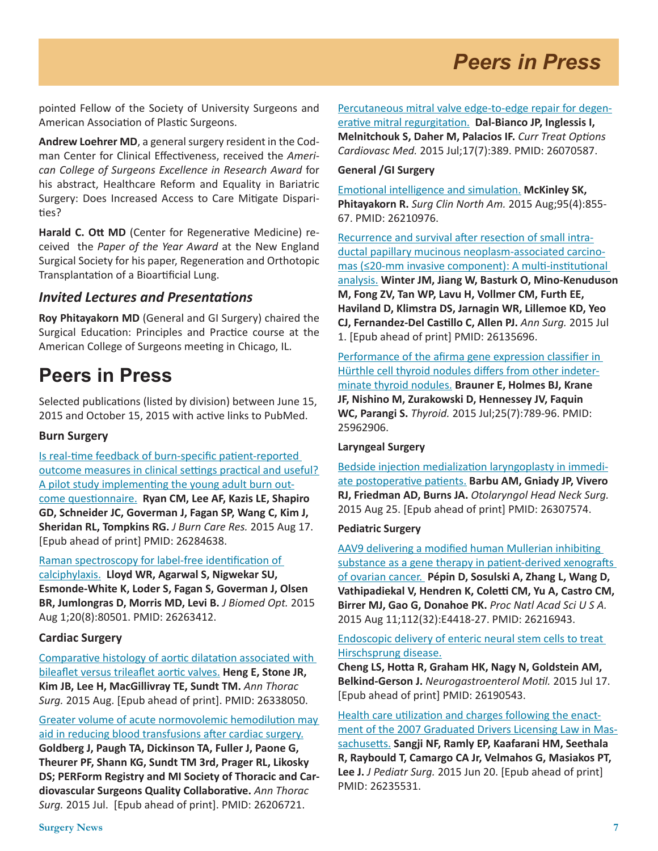# *Peers in Press*

pointed Fellow of the Society of University Surgeons and American Association of Plastic Surgeons.

**Andrew Loehrer MD**, a general surgery resident in the Codman Center for Clinical Effectiveness, received the *American College of Surgeons Excellence in Research Award* for his abstract, Healthcare Reform and Equality in Bariatric Surgery: Does Increased Access to Care Mitigate Disparities?

**Harald C. Ott MD** (Center for Regenerative Medicine) received the *Paper of the Year Award* at the New England Surgical Society for his paper, Regeneration and Orthotopic Transplantation of a Bioartificial Lung.

### *Invited Lectures and Presentations*

**Roy Phitayakorn MD** (General and GI Surgery) chaired the Surgical Education: Principles and Practice course at the American College of Surgeons meeting in Chicago, IL.

### **Peers in Press**

Selected publications (listed by division) between June 15, 2015 and October 15, 2015 with active links to PubMed.

#### **Burn Surgery**

[Is real-time feedback of burn-specific patient-reported](http://www.ncbi.nlm.nih.gov/pubmed/26284638)  [outcome measures in clinical settings practical and useful?](http://www.ncbi.nlm.nih.gov/pubmed/26284638)  [A pilot study implementing the young adult burn out](http://www.ncbi.nlm.nih.gov/pubmed/26284638)[come questionnaire.](http://www.ncbi.nlm.nih.gov/pubmed/26284638) **Ryan CM, Lee AF, Kazis LE, Shapiro GD, Schneider JC, Goverman J, Fagan SP, Wang C, Kim J, Sheridan RL, Tompkins RG.** *J Burn Care Res.* 2015 Aug 17. [Epub ahead of print] PMID: 26284638.

[Raman spectroscopy for label-free identification of](http://www.ncbi.nlm.nih.gov/pubmed/26263412)  [calciphylaxis.](http://www.ncbi.nlm.nih.gov/pubmed/26263412) **Lloyd WR, Agarwal S, Nigwekar SU, Esmonde-White K, Loder S, Fagan S, Goverman J, Olsen BR, Jumlongras D, Morris MD, Levi B.** *J Biomed Opt.* 2015 Aug 1;20(8):80501. PMID: 26263412.

#### **Cardiac Surgery**

[Comparative histology of aortic dilatation associated with](http://www.ncbi.nlm.nih.gov/pubmed/26338050)  [bileaflet versus trileaflet aortic valves.](http://www.ncbi.nlm.nih.gov/pubmed/26338050) **Heng E, Stone JR, Kim JB, Lee H, MacGillivray TE, Sundt TM.** *Ann Thorac Surg.* 2015 Aug. [Epub ahead of print]. PMID: 26338050.

[Greater volume of acute normovolemic hemodilution may](http://www.ncbi.nlm.nih.gov/pubmed/26206721)  [aid in reducing blood transfusions after cardiac surgery.](http://www.ncbi.nlm.nih.gov/pubmed/26206721) **Goldberg J, Paugh TA, Dickinson TA, Fuller J, Paone G, Theurer PF, Shann KG, Sundt TM 3rd, Prager RL, Likosky DS; PERForm Registry and MI Society of Thoracic and Cardiovascular Surgeons Quality Collaborative.** *Ann Thorac Surg.* 2015 Jul. [Epub ahead of print]. PMID: 26206721.

[Percutaneous mitral valve edge-to-edge repair for degen](http://www.ncbi.nlm.nih.gov/pubmed/26070587)[erative mitral regurgitation.](http://www.ncbi.nlm.nih.gov/pubmed/26070587) **Dal-Bianco JP, Inglessis I, Melnitchouk S, Daher M, Palacios IF.** *Curr Treat Options Cardiovasc Med.* 2015 Jul;17(7):389. PMID: 26070587.

#### **General /GI Surgery**

[Emotional intelligence and simulation.](http://www.ncbi.nlm.nih.gov/pubmed/26210976) **McKinley SK, Phitayakorn R.** *Surg Clin North Am.* 2015 Aug;95(4):855- 67. PMID: 26210976.

[Recurrence and survival after resection of small intra](http://www.ncbi.nlm.nih.gov/pubmed/26135696)[ductal papillary mucinous neoplasm-associated carcino](http://www.ncbi.nlm.nih.gov/pubmed/26135696)[mas \(≤20-mm invasive component\): A multi-institutional](http://www.ncbi.nlm.nih.gov/pubmed/26135696)  [analysis.](http://www.ncbi.nlm.nih.gov/pubmed/26135696) **Winter JM, Jiang W, Basturk O, Mino-Kenuduson M, Fong ZV, Tan WP, Lavu H, Vollmer CM, Furth EE, Haviland D, Klimstra DS, Jarnagin WR, Lillemoe KD, Yeo CJ, Fernandez-Del Castillo C, Allen PJ.** *Ann Surg.* 2015 Jul 1. [Epub ahead of print] PMID: 26135696.

[Performance of the afirma gene expression classifier in](http://www.ncbi.nlm.nih.gov/pubmed/25962906)  [Hürthle cell thyroid nodules differs from other indeter](http://www.ncbi.nlm.nih.gov/pubmed/25962906)[minate thyroid nodules.](http://www.ncbi.nlm.nih.gov/pubmed/25962906) **Brauner E, Holmes BJ, Krane JF, Nishino M, Zurakowski D, Hennessey JV, Faquin WC, Parangi S.** *Thyroid.* 2015 Jul;25(7):789-96. PMID: 25962906.

#### **Laryngeal Surgery**

[Bedside injection medialization laryngoplasty in immedi](http://www.ncbi.nlm.nih.gov/pubmed/26307574)[ate postoperative patients.](http://www.ncbi.nlm.nih.gov/pubmed/26307574) **Barbu AM, Gniady JP, Vivero RJ, Friedman AD, Burns JA.** *Otolaryngol Head Neck Surg.*  2015 Aug 25. [Epub ahead of print] PMID: 26307574.

### **Pediatric Surgery**

[AAV9 delivering a modified human Mullerian inhibiting](http://www.ncbi.nlm.nih.gov/pubmed/?term=26216943)  [substance as a gene therapy in patient-derived xenografts](http://www.ncbi.nlm.nih.gov/pubmed/?term=26216943)  [of ovarian cancer.](http://www.ncbi.nlm.nih.gov/pubmed/?term=26216943) **Pépin D, Sosulski A, Zhang L, Wang D, Vathipadiekal V, Hendren K, Coletti CM, Yu A, Castro CM, Birrer MJ, Gao G, Donahoe PK.** *Proc Natl Acad Sci U S A.* 2015 Aug 11;112(32):E4418-27. PMID: 26216943.

#### [Endoscopic delivery of enteric neural stem cells to treat](http://www.ncbi.nlm.nih.gov/pubmed/?term=26190543)  [Hirschsprung disease.](http://www.ncbi.nlm.nih.gov/pubmed/?term=26190543)

**Cheng LS, Hotta R, Graham HK, Nagy N, Goldstein AM, Belkind-Gerson J.** *Neurogastroenterol Motil.* 2015 Jul 17. [Epub ahead of print] PMID: 26190543.

[Health care utilization and charges following the enact](http://www.ncbi.nlm.nih.gov/pubmed/26235531)[ment of the 2007 Graduated Drivers Licensing Law in Mas](http://www.ncbi.nlm.nih.gov/pubmed/26235531)[sachusetts.](http://www.ncbi.nlm.nih.gov/pubmed/26235531) **Sangji NF, Ramly EP, Kaafarani HM, Seethala R, Raybould T, Camargo CA Jr, Velmahos G, Masiakos PT, Lee J.** *J Pediatr Surg.* 2015 Jun 20. [Epub ahead of print] PMID: 26235531.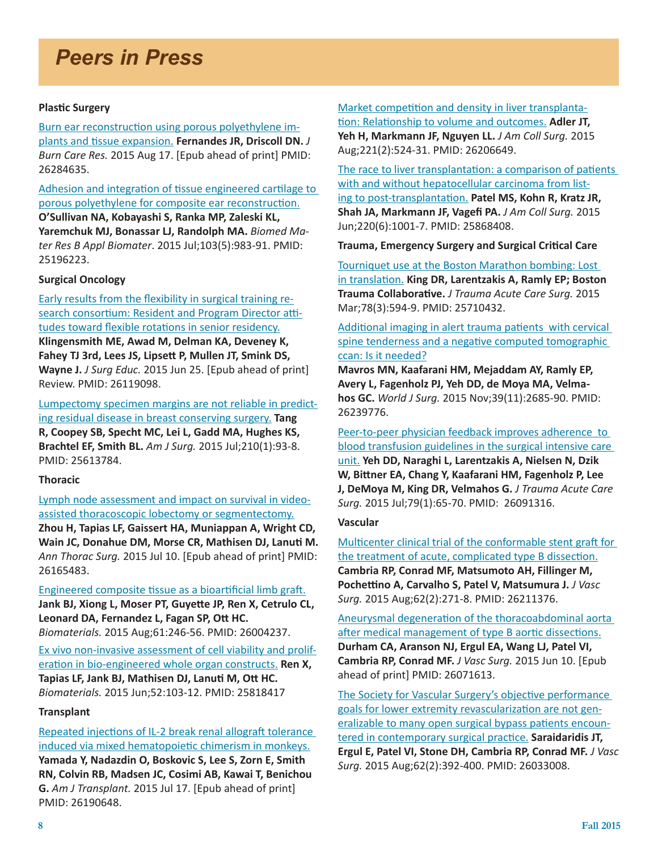# *Peers in Press*

#### **Plastic Surgery**

[Burn ear reconstruction using porous polyethylene im](http://www.ncbi.nlm.nih.gov/pubmed/26284635)[plants and tissue expansion.](http://www.ncbi.nlm.nih.gov/pubmed/26284635) **Fernandes JR, Driscoll DN.** *J Burn Care Res.* 2015 Aug 17. [Epub ahead of print] PMID: 26284635.

[Adhesion and integration of tissue engineered cartilage to](http://www.ncbi.nlm.nih.gov/pubmed/25196223)  [porous polyethylene for composite ear reconstruction.](http://www.ncbi.nlm.nih.gov/pubmed/25196223)

**O'Sullivan NA, Kobayashi S, Ranka MP, Zaleski KL, Yaremchuk MJ, Bonassar LJ, Randolph MA.** *Biomed Mater Res B Appl Biomater*. 2015 Jul;103(5):983-91. PMID: 25196223.

#### **Surgical Oncology**

[Early results from the flexibility in surgical training re](http://www.ncbi.nlm.nih.gov/pubmed/26119098)[search consortium: Resident and Program Director atti](http://www.ncbi.nlm.nih.gov/pubmed/26119098)[tudes toward flexible rotations in senior residency.](http://www.ncbi.nlm.nih.gov/pubmed/26119098)

**Klingensmith ME, Awad M, Delman KA, Deveney K, Fahey TJ 3rd, Lees JS, Lipsett P, Mullen JT, Smink DS, Wayne J.** *J Surg Educ.* 2015 Jun 25. [Epub ahead of print] Review. PMID: 26119098.

[Lumpectomy specimen margins are not reliable in predict](http://www.ncbi.nlm.nih.gov/pubmed/25613784)[ing residual disease in breast conserving surgery.](http://www.ncbi.nlm.nih.gov/pubmed/25613784) **Tang** 

**R, Coopey SB, Specht MC, Lei L, Gadd MA, Hughes KS, Brachtel EF, Smith BL.** *Am J Surg.* 2015 Jul;210(1):93-8. PMID: 25613784.

#### **Thoracic**

[Lymph node assessment and impact on survival in video](http://www.ncbi.nlm.nih.gov/pubmed/26165483)[assisted thoracoscopic lobectomy or segmentectomy.](http://www.ncbi.nlm.nih.gov/pubmed/26165483)

**Zhou H, Tapias LF, Gaissert HA, Muniappan A, Wright CD, Wain JC, Donahue DM, Morse CR, Mathisen DJ, Lanuti M.** *Ann Thorac Surg.* 2015 Jul 10. [Epub ahead of print] PMID: 26165483.

[Engineered composite tissue as a bioartificial limb graft.](http://www.ncbi.nlm.nih.gov/pubmed/26004237) **Jank BJ, Xiong L, Moser PT, Guyette JP, Ren X, Cetrulo CL, Leonard DA, Fernandez L, Fagan SP, Ott HC.** *Biomaterials.* 2015 Aug;61:246-56. PMID: 26004237.

[Ex vivo non-invasive assessment of cell viability and prolif](http://www.ncbi.nlm.nih.gov/pubmed/25818417)[eration in bio-engineered whole organ constructs.](http://www.ncbi.nlm.nih.gov/pubmed/25818417) **Ren X, Tapias LF, Jank BJ, Mathisen DJ, Lanuti M, Ott HC.** *Biomaterials.* 2015 Jun;52:103-12. PMID: 25818417

#### **Transplant**

[Repeated injections of IL-2 break renal allograft tolerance](http://www.ncbi.nlm.nih.gov/pubmed/26190648)  [induced via mixed hematopoietic chimerism in monkeys.](http://www.ncbi.nlm.nih.gov/pubmed/26190648) **Yamada Y, Nadazdin O, Boskovic S, Lee S, Zorn E, Smith RN, Colvin RB, Madsen JC, Cosimi AB, Kawai T, Benichou G.** *Am J Transplant.* 2015 Jul 17. [Epub ahead of print] PMID: 26190648.

[Market competition and density in liver transplanta](http://www.ncbi.nlm.nih.gov/pubmed/26206649)[tion: Relationship to volume and outcomes.](http://www.ncbi.nlm.nih.gov/pubmed/26206649) **Adler JT, Yeh H, Markmann JF, Nguyen LL.** *J Am Coll Surg.* 2015 Aug;221(2):524-31. PMID: 26206649.

[The race to liver transplantation: a comparison of patients](http://www.ncbi.nlm.nih.gov/pubmed/25868408)  [with and without hepatocellular carcinoma from list](http://www.ncbi.nlm.nih.gov/pubmed/25868408)[ing to post-transplantation.](http://www.ncbi.nlm.nih.gov/pubmed/25868408) **Patel MS, Kohn R, Kratz JR, Shah JA, Markmann JF, Vagefi PA.** *J Am Coll Surg.* 2015 Jun;220(6):1001-7. PMID: 25868408.

**Trauma, Emergency Surgery and Surgical Critical Care**

[Tourniquet use at the Boston Marathon bombing: Lost](http://www.ncbi.nlm.nih.gov/pubmed/25710432)  [in translation.](http://www.ncbi.nlm.nih.gov/pubmed/25710432) **King DR, Larentzakis A, Ramly EP; Boston Trauma Collaborative.** *J Trauma Acute Care Surg.* 2015 Mar;78(3):594-9. PMID: 25710432.

[Additional imaging in alert trauma patients with cervical](http://www.ncbi.nlm.nih.gov/pubmed/26239776)  spine tenderness and a negative computed tomographic [ccan: Is it needed?](http://www.ncbi.nlm.nih.gov/pubmed/26239776)

**Mavros MN, Kaafarani HM, Mejaddam AY, Ramly EP, Avery L, Fagenholz PJ, Yeh DD, de Moya MA, Velmahos GC.** *World J Surg.* 2015 Nov;39(11):2685-90. PMID: 26239776.

[Peer-to-peer physician feedback improves adherence to](http://www.ncbi.nlm.nih.gov/pubmed/26091316)  [blood transfusion guidelines in the surgical intensive care](http://www.ncbi.nlm.nih.gov/pubmed/26091316)  [unit.](http://www.ncbi.nlm.nih.gov/pubmed/26091316) **Yeh DD, Naraghi L, Larentzakis A, Nielsen N, Dzik W, Bittner EA, Chang Y, Kaafarani HM, Fagenholz P, Lee J, DeMoya M, King DR, Velmahos G.** *J Trauma Acute Care* 

*Surg.* 2015 Jul;79(1):65-70. PMID: 26091316.

### **Vascular**

[Multicenter clinical trial of the conformable stent graft for](http://www.ncbi.nlm.nih.gov/pubmed/26211376)  [the treatment of acute, complicated type B dissection.](http://www.ncbi.nlm.nih.gov/pubmed/26211376) **Cambria RP, Conrad MF, Matsumoto AH, Fillinger M, Pochettino A, Carvalho S, Patel V, Matsumura J.** *J Vasc Surg.* 2015 Aug;62(2):271-8. PMID: 26211376.

[Aneurysmal degeneration of the thoracoabdominal aorta](http://www.ncbi.nlm.nih.gov/pubmed/26071613)  [after medical management of type B aortic dissections.](http://www.ncbi.nlm.nih.gov/pubmed/26071613) **Durham CA, Aranson NJ, Ergul EA, Wang LJ, Patel VI, Cambria RP, Conrad MF.** *J Vasc Surg.* 2015 Jun 10. [Epub ahead of print] PMID: 26071613.

[The Society for Vascular Surgery's objective performance](http://www.ncbi.nlm.nih.gov/pubmed/26033008)  [goals for lower extremity revascularization are not gen](http://www.ncbi.nlm.nih.gov/pubmed/26033008)[eralizable to many open surgical bypass patients encoun](http://www.ncbi.nlm.nih.gov/pubmed/26033008)[tered in contemporary surgical practice.](http://www.ncbi.nlm.nih.gov/pubmed/26033008) **Saraidaridis JT, Ergul E, Patel VI, Stone DH, Cambria RP, Conrad MF.** *J Vasc Surg.* 2015 Aug;62(2):392-400. PMID: 26033008.